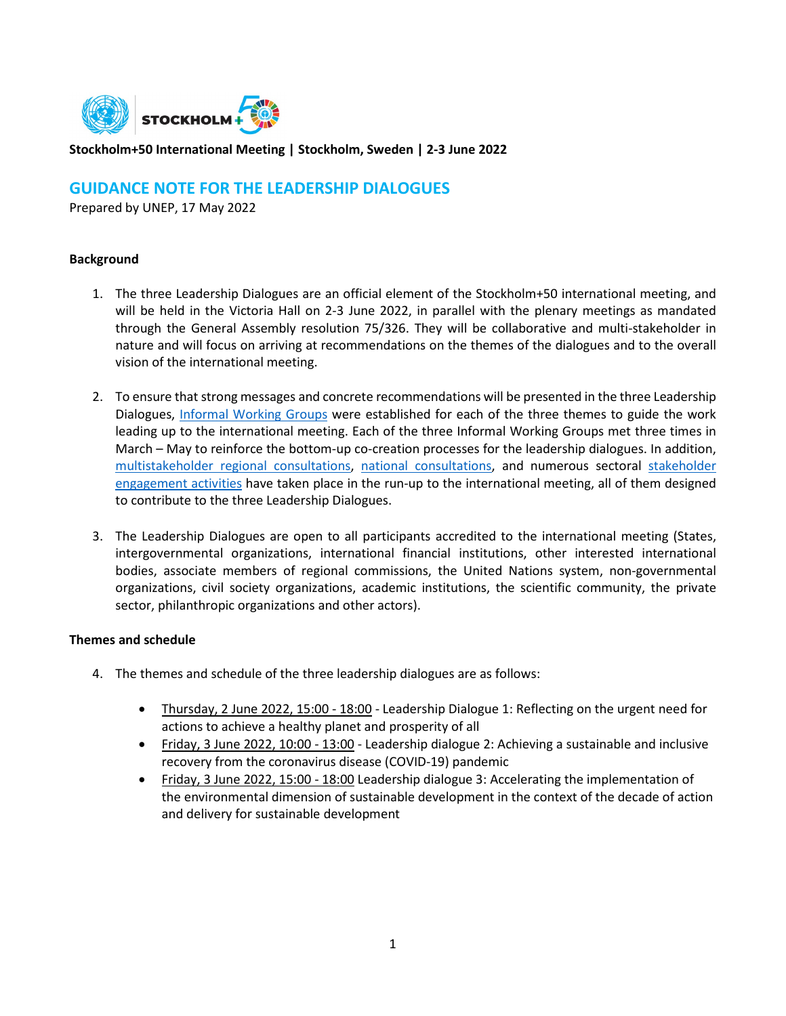

## **Stockholm+50 International Meeting | Stockholm, Sweden | 2-3 June 2022**

# **GUIDANCE NOTE FOR THE LEADERSHIP DIALOGUES**

Prepared by UNEP, 17 May 2022

## **Background**

- 1. The three Leadership Dialogues are an official element of the Stockholm+50 international meeting, and will be held in the Victoria Hall on 2-3 June 2022, in parallel with the plenary meetings as mandated through the General Assembly resolution 75/326. They will be collaborative and multi-stakeholder in nature and will focus on arriving at recommendations on the themes of the dialogues and to the overall vision of the international meeting.
- 2. To ensure that strong messages and concrete recommendations will be presented in the three Leadership Dialogues, [Informal Working Groups](https://www.stockholm50.global/participate/informal-working-groups) were established for each of the three themes to guide the work leading up to the international meeting. Each of the three Informal Working Groups met three times in March – May to reinforce the bottom-up co-creation processes for the leadership dialogues. In addition, [multistakeholder regional consultations,](https://www.stockholm50.global/processes/regional-multi-stakeholder-consultations) [national consultations,](https://www.stockholm50.global/processes/national-consultations-0) and numerous sectoral [stakeholder](https://www.stockholm50.global/participate/stakeholder-engagement)  [engagement activities](https://www.stockholm50.global/participate/stakeholder-engagement) have taken place in the run-up to the international meeting, all of them designed to contribute to the three Leadership Dialogues.
- 3. The Leadership Dialogues are open to all participants accredited to the international meeting (States, intergovernmental organizations, international financial institutions, other interested international bodies, associate members of regional commissions, the United Nations system, non-governmental organizations, civil society organizations, academic institutions, the scientific community, the private sector, philanthropic organizations and other actors).

#### **Themes and schedule**

- 4. The themes and schedule of the three leadership dialogues are as follows:
	- Thursday, 2 June 2022, 15:00 18:00 Leadership Dialogue 1: Reflecting on the urgent need for actions to achieve a healthy planet and prosperity of all
	- Friday, 3 June 2022, 10:00 13:00 Leadership dialogue 2: Achieving a sustainable and inclusive recovery from the coronavirus disease (COVID-19) pandemic
	- Friday, 3 June 2022, 15:00 18:00 Leadership dialogue 3: Accelerating the implementation of the environmental dimension of sustainable development in the context of the decade of action and delivery for sustainable development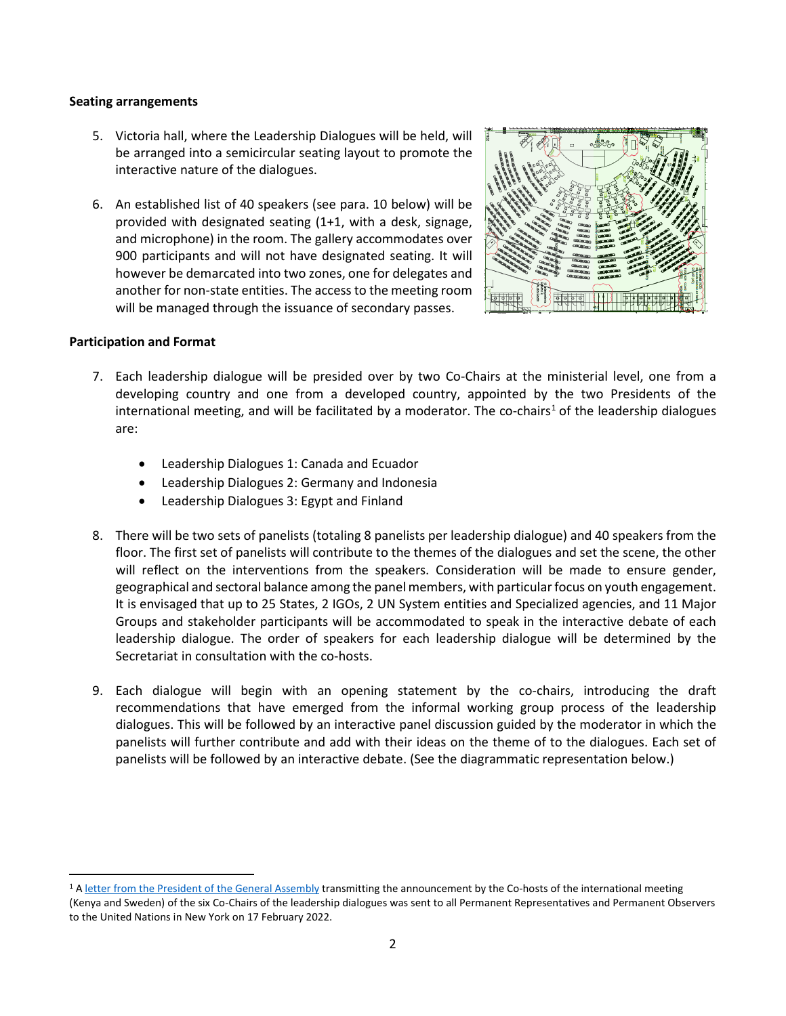#### **Seating arrangements**

- 5. Victoria hall, where the Leadership Dialogues will be held, will be arranged into a semicircular seating layout to promote the interactive nature of the dialogues.
- 6. An established list of 40 speakers (see para. 10 below) will be provided with designated seating (1+1, with a desk, signage, and microphone) in the room. The gallery accommodates over 900 participants and will not have designated seating. It will however be demarcated into two zones, one for delegates and another for non-state entities. The access to the meeting room will be managed through the issuance of secondary passes.



#### **Participation and Format**

- 7. Each leadership dialogue will be presided over by two Co-Chairs at the ministerial level, one from a developing country and one from a developed country, appointed by the two Presidents of the international meeting, and will be facilitated by a moderator. The co-chairs<sup>[1](#page-1-0)</sup> of the leadership dialogues are:
	- Leadership Dialogues 1: Canada and Ecuador
	- Leadership Dialogues 2: Germany and Indonesia
	- Leadership Dialogues 3: Egypt and Finland
- 8. There will be two sets of panelists (totaling 8 panelists per leadership dialogue) and 40 speakers from the floor. The first set of panelists will contribute to the themes of the dialogues and set the scene, the other will reflect on the interventions from the speakers. Consideration will be made to ensure gender, geographical and sectoral balance among the panel members, with particular focus on youth engagement. It is envisaged that up to 25 States, 2 IGOs, 2 UN System entities and Specialized agencies, and 11 Major Groups and stakeholder participants will be accommodated to speak in the interactive debate of each leadership dialogue. The order of speakers for each leadership dialogue will be determined by the Secretariat in consultation with the co-hosts.
- 9. Each dialogue will begin with an opening statement by the co-chairs, introducing the draft recommendations that have emerged from the informal working group process of the leadership dialogues. This will be followed by an interactive panel discussion guided by the moderator in which the panelists will further contribute and add with their ideas on the theme of to the dialogues. Each set of panelists will be followed by an interactive debate. (See the diagrammatic representation below.)

<span id="page-1-0"></span><sup>&</sup>lt;sup>1</sup> [A letter from the President of the General Assembly](https://www.un.org/pga/76/2022/02/17/letter-from-the-president-of-the-general-assembly-stockholm50-leadership-dialogue-co-chairs/) transmitting the announcement by the Co-hosts of the international meeting (Kenya and Sweden) of the six Co-Chairs of the leadership dialogues was sent to all Permanent Representatives and Permanent Observers to the United Nations in New York on 17 February 2022.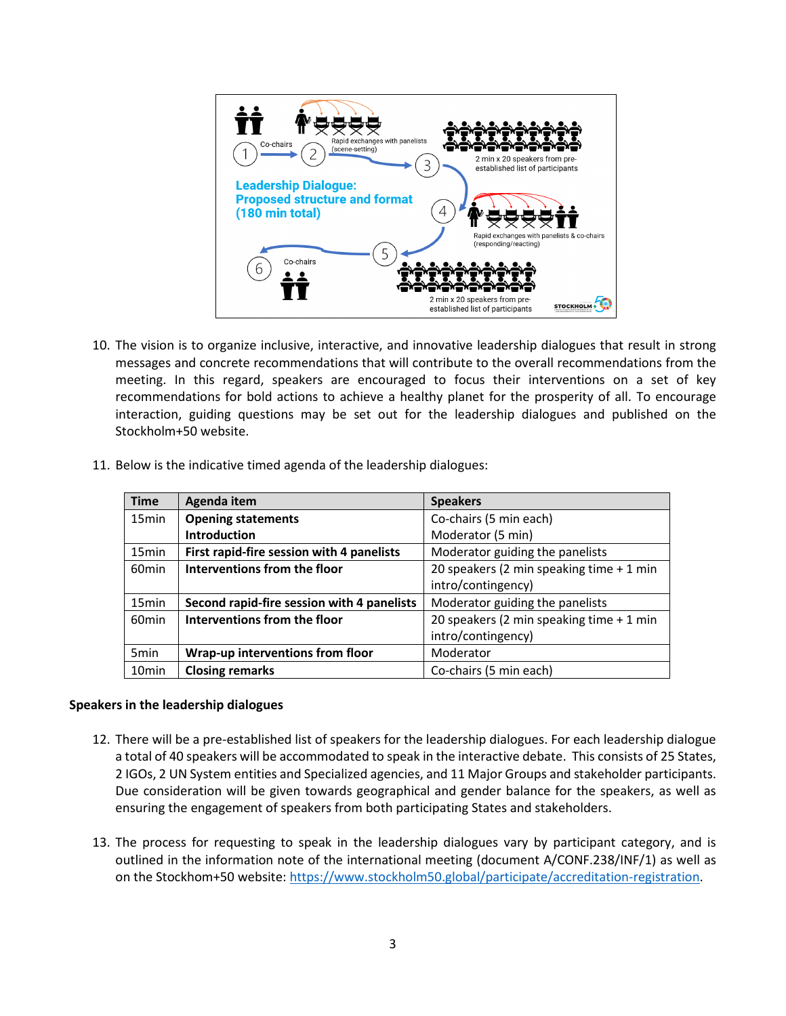

10. The vision is to organize inclusive, interactive, and innovative leadership dialogues that result in strong messages and concrete recommendations that will contribute to the overall recommendations from the meeting. In this regard, speakers are encouraged to focus their interventions on a set of key recommendations for bold actions to achieve a healthy planet for the prosperity of all. To encourage interaction, guiding questions may be set out for the leadership dialogues and published on the Stockholm+50 website.

|  | 11. Below is the indicative timed agenda of the leadership dialogues: |  |  |
|--|-----------------------------------------------------------------------|--|--|
|  |                                                                       |  |  |

| <b>Time</b>       | Agenda item                                | <b>Speakers</b>                          |
|-------------------|--------------------------------------------|------------------------------------------|
| 15 <sub>min</sub> | <b>Opening statements</b>                  | Co-chairs (5 min each)                   |
|                   | <b>Introduction</b>                        | Moderator (5 min)                        |
| 15 <sub>min</sub> | First rapid-fire session with 4 panelists  | Moderator guiding the panelists          |
| 60 <sub>min</sub> | Interventions from the floor               | 20 speakers (2 min speaking time + 1 min |
|                   |                                            | intro/contingency)                       |
| 15 <sub>min</sub> | Second rapid-fire session with 4 panelists | Moderator guiding the panelists          |
| 60 <sub>min</sub> | Interventions from the floor               | 20 speakers (2 min speaking time + 1 min |
|                   |                                            | intro/contingency)                       |
| 5 <sub>min</sub>  | Wrap-up interventions from floor           | Moderator                                |
| 10 <sub>min</sub> | <b>Closing remarks</b>                     | Co-chairs (5 min each)                   |

#### **Speakers in the leadership dialogues**

- 12. There will be a pre-established list of speakers for the leadership dialogues. For each leadership dialogue a total of 40 speakers will be accommodated to speak in the interactive debate. This consists of 25 States, 2 IGOs, 2 UN System entities and Specialized agencies, and 11 Major Groups and stakeholder participants. Due consideration will be given towards geographical and gender balance for the speakers, as well as ensuring the engagement of speakers from both participating States and stakeholders.
- 13. The process for requesting to speak in the leadership dialogues vary by participant category, and is outlined in the information note of the international meeting (document A/CONF.238/INF/1) as well as on the Stockhom+50 website[: https://www.stockholm50.global/participate/accreditation-registration.](https://www.stockholm50.global/participate/accreditation-registration)